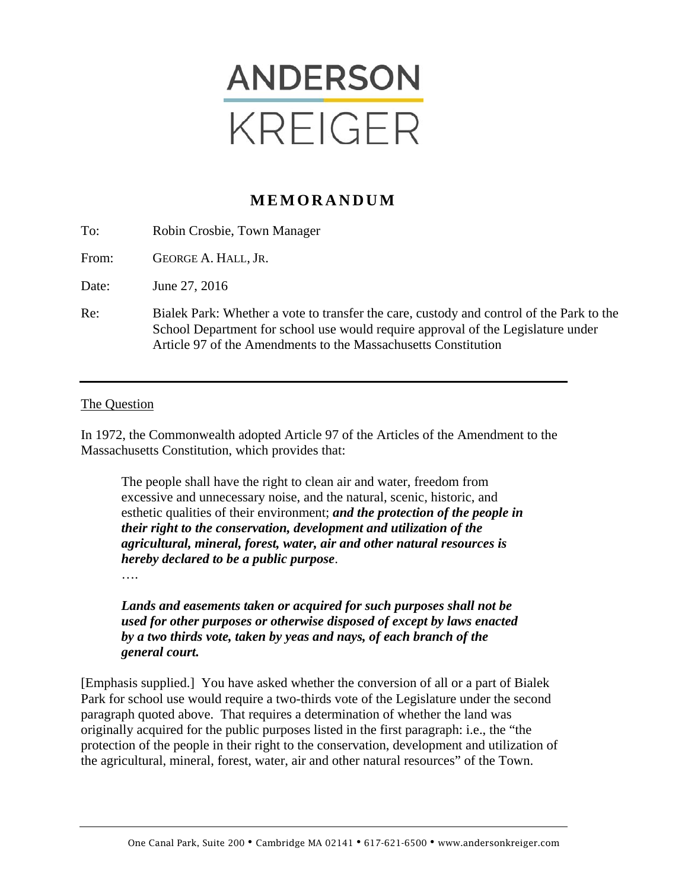

# **MEMORANDUM**

| To:   | Robin Crosbie, Town Manager                                                                                                                                                                                                                    |
|-------|------------------------------------------------------------------------------------------------------------------------------------------------------------------------------------------------------------------------------------------------|
| From: | GEORGE A. HALL, JR.                                                                                                                                                                                                                            |
| Date: | June 27, 2016                                                                                                                                                                                                                                  |
| Re:   | Bialek Park: Whether a vote to transfer the care, custody and control of the Park to the<br>School Department for school use would require approval of the Legislature under<br>Article 97 of the Amendments to the Massachusetts Constitution |

#### The Question

In 1972, the Commonwealth adopted Article 97 of the Articles of the Amendment to the Massachusetts Constitution, which provides that:

The people shall have the right to clean air and water, freedom from excessive and unnecessary noise, and the natural, scenic, historic, and esthetic qualities of their environment; *and the protection of the people in their right to the conservation, development and utilization of the agricultural, mineral, forest, water, air and other natural resources is hereby declared to be a public purpose*.

….

*Lands and easements taken or acquired for such purposes shall not be used for other purposes or otherwise disposed of except by laws enacted by a two thirds vote, taken by yeas and nays, of each branch of the general court.* 

[Emphasis supplied.] You have asked whether the conversion of all or a part of Bialek Park for school use would require a two-thirds vote of the Legislature under the second paragraph quoted above. That requires a determination of whether the land was originally acquired for the public purposes listed in the first paragraph: i.e., the "the protection of the people in their right to the conservation, development and utilization of the agricultural, mineral, forest, water, air and other natural resources" of the Town.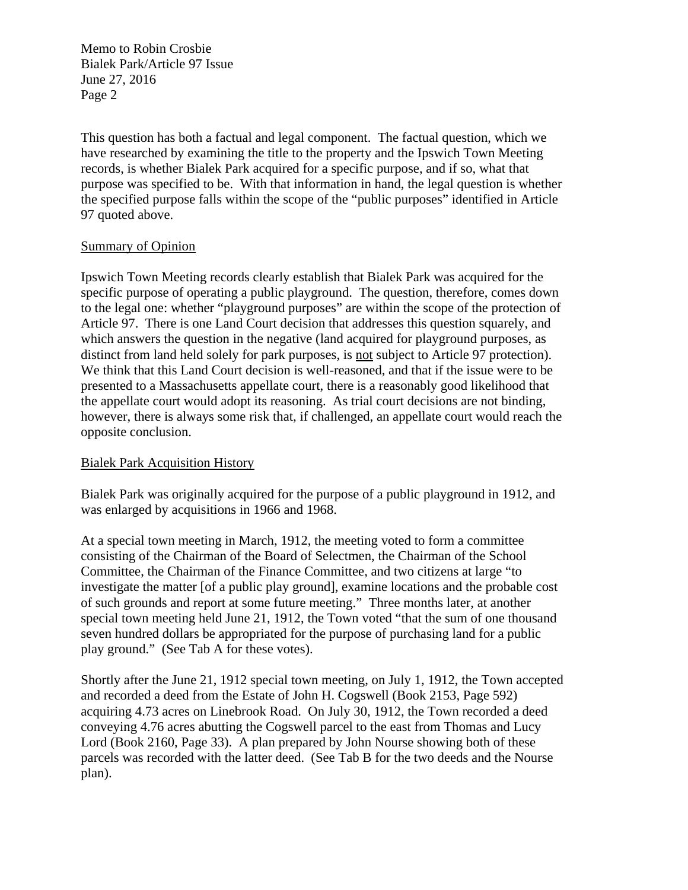This question has both a factual and legal component. The factual question, which we have researched by examining the title to the property and the Ipswich Town Meeting records, is whether Bialek Park acquired for a specific purpose, and if so, what that purpose was specified to be. With that information in hand, the legal question is whether the specified purpose falls within the scope of the "public purposes" identified in Article 97 quoted above.

## Summary of Opinion

Ipswich Town Meeting records clearly establish that Bialek Park was acquired for the specific purpose of operating a public playground. The question, therefore, comes down to the legal one: whether "playground purposes" are within the scope of the protection of Article 97. There is one Land Court decision that addresses this question squarely, and which answers the question in the negative (land acquired for playground purposes, as distinct from land held solely for park purposes, is not subject to Article 97 protection). We think that this Land Court decision is well-reasoned, and that if the issue were to be presented to a Massachusetts appellate court, there is a reasonably good likelihood that the appellate court would adopt its reasoning. As trial court decisions are not binding, however, there is always some risk that, if challenged, an appellate court would reach the opposite conclusion.

# Bialek Park Acquisition History

Bialek Park was originally acquired for the purpose of a public playground in 1912, and was enlarged by acquisitions in 1966 and 1968.

At a special town meeting in March, 1912, the meeting voted to form a committee consisting of the Chairman of the Board of Selectmen, the Chairman of the School Committee, the Chairman of the Finance Committee, and two citizens at large "to investigate the matter [of a public play ground], examine locations and the probable cost of such grounds and report at some future meeting." Three months later, at another special town meeting held June 21, 1912, the Town voted "that the sum of one thousand seven hundred dollars be appropriated for the purpose of purchasing land for a public play ground." (See Tab A for these votes).

Shortly after the June 21, 1912 special town meeting, on July 1, 1912, the Town accepted and recorded a deed from the Estate of John H. Cogswell (Book 2153, Page 592) acquiring 4.73 acres on Linebrook Road. On July 30, 1912, the Town recorded a deed conveying 4.76 acres abutting the Cogswell parcel to the east from Thomas and Lucy Lord (Book 2160, Page 33). A plan prepared by John Nourse showing both of these parcels was recorded with the latter deed. (See Tab B for the two deeds and the Nourse plan).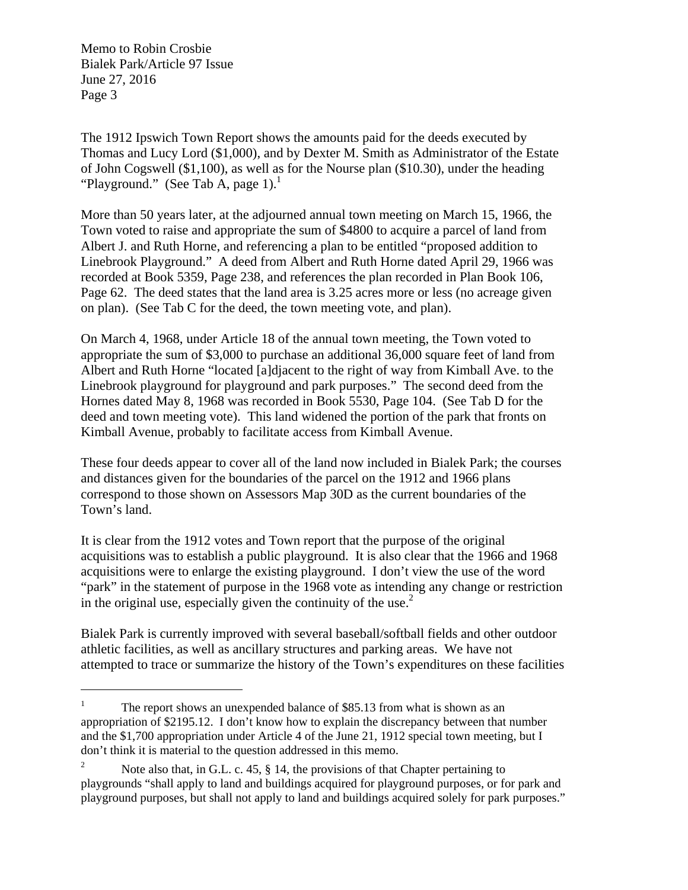$\overline{a}$ 

The 1912 Ipswich Town Report shows the amounts paid for the deeds executed by Thomas and Lucy Lord (\$1,000), and by Dexter M. Smith as Administrator of the Estate of John Cogswell (\$1,100), as well as for the Nourse plan (\$10.30), under the heading "Playground." (See Tab A, page  $1$ ).<sup>1</sup>

More than 50 years later, at the adjourned annual town meeting on March 15, 1966, the Town voted to raise and appropriate the sum of \$4800 to acquire a parcel of land from Albert J. and Ruth Horne, and referencing a plan to be entitled "proposed addition to Linebrook Playground." A deed from Albert and Ruth Horne dated April 29, 1966 was recorded at Book 5359, Page 238, and references the plan recorded in Plan Book 106, Page 62. The deed states that the land area is 3.25 acres more or less (no acreage given on plan). (See Tab C for the deed, the town meeting vote, and plan).

On March 4, 1968, under Article 18 of the annual town meeting, the Town voted to appropriate the sum of \$3,000 to purchase an additional 36,000 square feet of land from Albert and Ruth Horne "located [a]djacent to the right of way from Kimball Ave. to the Linebrook playground for playground and park purposes." The second deed from the Hornes dated May 8, 1968 was recorded in Book 5530, Page 104. (See Tab D for the deed and town meeting vote). This land widened the portion of the park that fronts on Kimball Avenue, probably to facilitate access from Kimball Avenue.

These four deeds appear to cover all of the land now included in Bialek Park; the courses and distances given for the boundaries of the parcel on the 1912 and 1966 plans correspond to those shown on Assessors Map 30D as the current boundaries of the Town's land.

It is clear from the 1912 votes and Town report that the purpose of the original acquisitions was to establish a public playground. It is also clear that the 1966 and 1968 acquisitions were to enlarge the existing playground. I don't view the use of the word "park" in the statement of purpose in the 1968 vote as intending any change or restriction in the original use, especially given the continuity of the use. $<sup>2</sup>$ </sup>

Bialek Park is currently improved with several baseball/softball fields and other outdoor athletic facilities, as well as ancillary structures and parking areas. We have not attempted to trace or summarize the history of the Town's expenditures on these facilities

<sup>1</sup> The report shows an unexpended balance of \$85.13 from what is shown as an appropriation of \$2195.12. I don't know how to explain the discrepancy between that number and the \$1,700 appropriation under Article 4 of the June 21, 1912 special town meeting, but I don't think it is material to the question addressed in this memo.

<sup>2</sup> Note also that, in G.L. c. 45, § 14, the provisions of that Chapter pertaining to playgrounds "shall apply to land and buildings acquired for playground purposes, or for park and playground purposes, but shall not apply to land and buildings acquired solely for park purposes."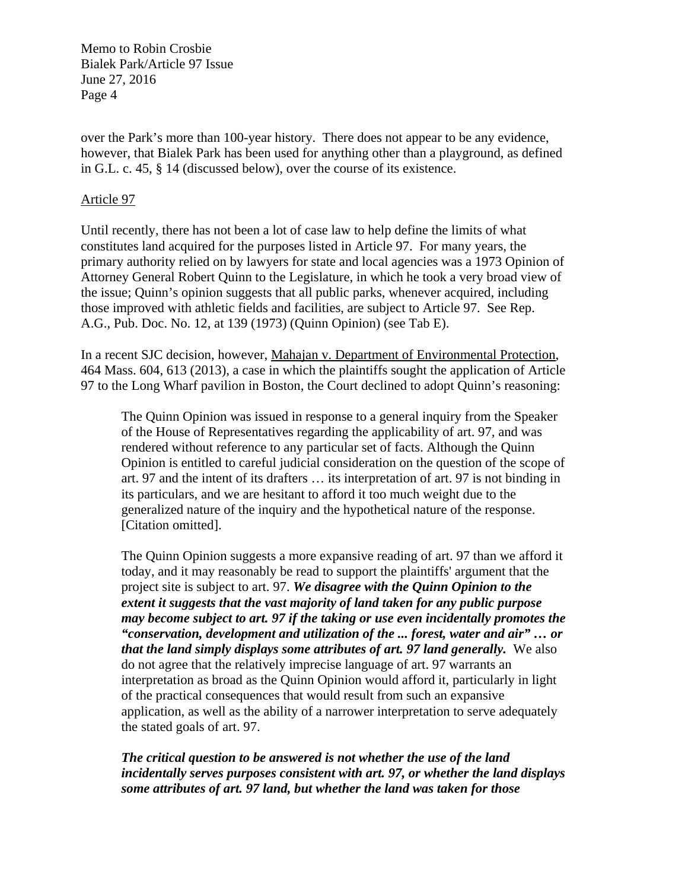over the Park's more than 100-year history. There does not appear to be any evidence, however, that Bialek Park has been used for anything other than a playground, as defined in G.L. c. 45, § 14 (discussed below), over the course of its existence.

### Article 97

Until recently, there has not been a lot of case law to help define the limits of what constitutes land acquired for the purposes listed in Article 97. For many years, the primary authority relied on by lawyers for state and local agencies was a 1973 Opinion of Attorney General Robert Quinn to the Legislature, in which he took a very broad view of the issue; Quinn's opinion suggests that all public parks, whenever acquired, including those improved with athletic fields and facilities, are subject to Article 97. See Rep. A.G., Pub. Doc. No. 12, at 139 (1973) (Quinn Opinion) (see Tab E).

In a recent SJC decision, however, Mahajan v. Department of Environmental Protection, 464 Mass. 604, 613 (2013), a case in which the plaintiffs sought the application of Article 97 to the Long Wharf pavilion in Boston, the Court declined to adopt Quinn's reasoning:

The Quinn Opinion was issued in response to a general inquiry from the Speaker of the House of Representatives regarding the applicability of art. 97, and was rendered without reference to any particular set of facts. Although the Quinn Opinion is entitled to careful judicial consideration on the question of the scope of art. 97 and the intent of its drafters … its interpretation of art. 97 is not binding in its particulars, and we are hesitant to afford it too much weight due to the generalized nature of the inquiry and the hypothetical nature of the response. [Citation omitted].

The Quinn Opinion suggests a more expansive reading of art. 97 than we afford it today, and it may reasonably be read to support the plaintiffs' argument that the project site is subject to art. 97. *We disagree with the Quinn Opinion to the extent it suggests that the vast majority of land taken for any public purpose may become subject to art. 97 if the taking or use even incidentally promotes the "conservation, development and utilization of the ... forest, water and air" … or that the land simply displays some attributes of art. 97 land generally.* We also do not agree that the relatively imprecise language of art. 97 warrants an interpretation as broad as the Quinn Opinion would afford it, particularly in light of the practical consequences that would result from such an expansive application, as well as the ability of a narrower interpretation to serve adequately the stated goals of art. 97.

*The critical question to be answered is not whether the use of the land incidentally serves purposes consistent with art. 97, or whether the land displays some attributes of art. 97 land, but whether the land was taken for those*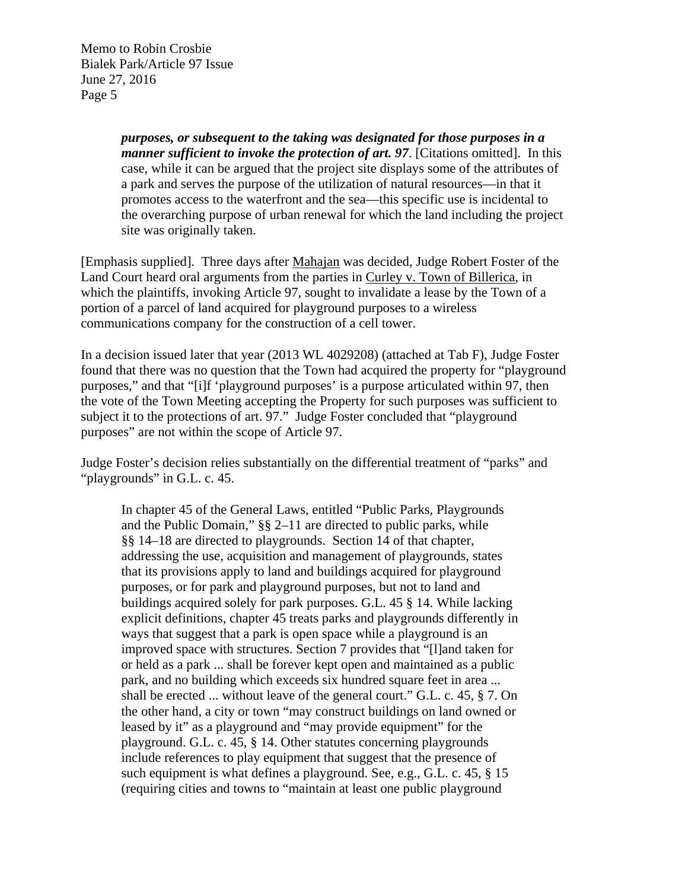> *purposes, or subsequent to the taking was designated for those purposes in a manner sufficient to invoke the protection of art. 97*. [Citations omitted]. In this case, while it can be argued that the project site displays some of the attributes of a park and serves the purpose of the utilization of natural resources—in that it promotes access to the waterfront and the sea—this specific use is incidental to the overarching purpose of urban renewal for which the land including the project site was originally taken.

[Emphasis supplied]. Three days after Mahajan was decided, Judge Robert Foster of the Land Court heard oral arguments from the parties in Curley v. Town of Billerica, in which the plaintiffs, invoking Article 97, sought to invalidate a lease by the Town of a portion of a parcel of land acquired for playground purposes to a wireless communications company for the construction of a cell tower.

In a decision issued later that year (2013 WL 4029208) (attached at Tab F), Judge Foster found that there was no question that the Town had acquired the property for "playground purposes," and that "[i]f 'playground purposes' is a purpose articulated within 97, then the vote of the Town Meeting accepting the Property for such purposes was sufficient to subject it to the protections of art. 97." Judge Foster concluded that "playground purposes" are not within the scope of Article 97.

Judge Foster's decision relies substantially on the differential treatment of "parks" and "playgrounds" in G.L. c. 45.

In chapter 45 of the General Laws, entitled "Public Parks, Playgrounds and the Public Domain," §§ 2–11 are directed to public parks, while §§ 14–18 are directed to playgrounds. Section 14 of that chapter, addressing the use, acquisition and management of playgrounds, states that its provisions apply to land and buildings acquired for playground purposes, or for park and playground purposes, but not to land and buildings acquired solely for park purposes. G.L. 45 § 14. While lacking explicit definitions, chapter 45 treats parks and playgrounds differently in ways that suggest that a park is open space while a playground is an improved space with structures. Section 7 provides that "[l]and taken for or held as a park ... shall be forever kept open and maintained as a public park, and no building which exceeds six hundred square feet in area ... shall be erected ... without leave of the general court." G.L. c. 45, § 7. On the other hand, a city or town "may construct buildings on land owned or leased by it" as a playground and "may provide equipment" for the playground. G.L. c. 45, § 14. Other statutes concerning playgrounds include references to play equipment that suggest that the presence of such equipment is what defines a playground. See, e.g., G.L. c. 45, § 15 (requiring cities and towns to "maintain at least one public playground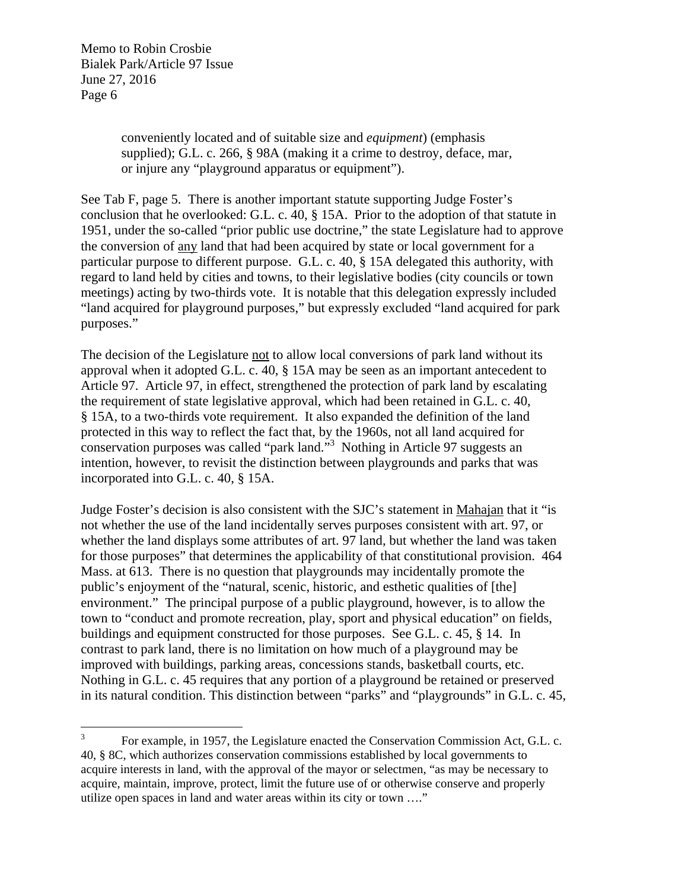> conveniently located and of suitable size and *equipment*) (emphasis supplied); G.L. c. 266, § 98A (making it a crime to destroy, deface, mar, or injure any "playground apparatus or equipment").

See Tab F, page 5. There is another important statute supporting Judge Foster's conclusion that he overlooked: G.L. c. 40, § 15A. Prior to the adoption of that statute in 1951, under the so-called "prior public use doctrine," the state Legislature had to approve the conversion of any land that had been acquired by state or local government for a particular purpose to different purpose. G.L. c. 40, § 15A delegated this authority, with regard to land held by cities and towns, to their legislative bodies (city councils or town meetings) acting by two-thirds vote. It is notable that this delegation expressly included "land acquired for playground purposes," but expressly excluded "land acquired for park purposes."

The decision of the Legislature not to allow local conversions of park land without its approval when it adopted G.L. c. 40, § 15A may be seen as an important antecedent to Article 97. Article 97, in effect, strengthened the protection of park land by escalating the requirement of state legislative approval, which had been retained in G.L. c. 40, § 15A, to a two-thirds vote requirement. It also expanded the definition of the land protected in this way to reflect the fact that, by the 1960s, not all land acquired for conservation purposes was called "park land."3 Nothing in Article 97 suggests an intention, however, to revisit the distinction between playgrounds and parks that was incorporated into G.L. c. 40, § 15A.

Judge Foster's decision is also consistent with the SJC's statement in Mahajan that it "is not whether the use of the land incidentally serves purposes consistent with art. 97, or whether the land displays some attributes of art. 97 land, but whether the land was taken for those purposes" that determines the applicability of that constitutional provision. 464 Mass. at 613. There is no question that playgrounds may incidentally promote the public's enjoyment of the "natural, scenic, historic, and esthetic qualities of [the] environment." The principal purpose of a public playground, however, is to allow the town to "conduct and promote recreation, play, sport and physical education" on fields, buildings and equipment constructed for those purposes. See G.L. c. 45, § 14. In contrast to park land, there is no limitation on how much of a playground may be improved with buildings, parking areas, concessions stands, basketball courts, etc. Nothing in G.L. c. 45 requires that any portion of a playground be retained or preserved in its natural condition. This distinction between "parks" and "playgrounds" in G.L. c. 45,

 3 For example, in 1957, the Legislature enacted the Conservation Commission Act, G.L. c. 40, § 8C, which authorizes conservation commissions established by local governments to acquire interests in land, with the approval of the mayor or selectmen, "as may be necessary to acquire, maintain, improve, protect, limit the future use of or otherwise conserve and properly utilize open spaces in land and water areas within its city or town …."